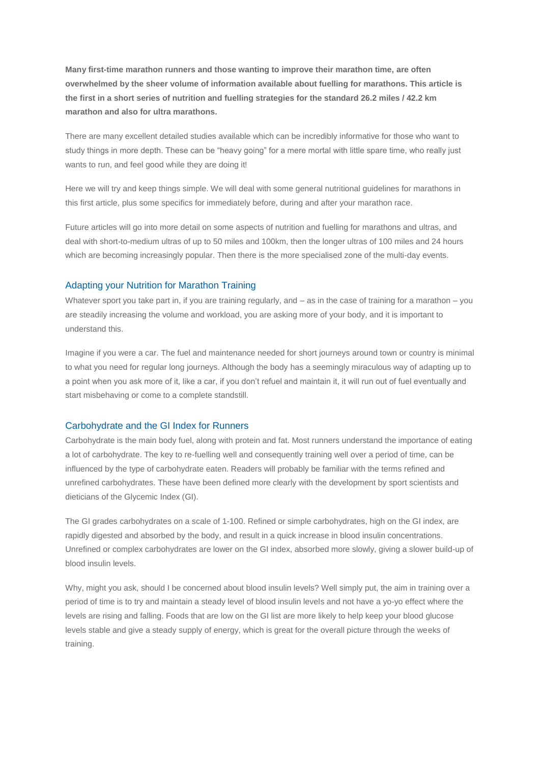**Many first-time marathon runners and those wanting to improve their marathon time, are often overwhelmed by the sheer volume of information available about fuelling for marathons. This article is the first in a short series of nutrition and fuelling strategies for the standard 26.2 miles / 42.2 km marathon and also for ultra marathons.**

There are many excellent detailed studies available which can be incredibly informative for those who want to study things in more depth. These can be "heavy going" for a mere mortal with little spare time, who really just wants to run, and feel good while they are doing it!

Here we will try and keep things simple. We will deal with some general nutritional guidelines for marathons in this first article, plus some specifics for immediately before, during and after your marathon race.

Future articles will go into more detail on some aspects of nutrition and fuelling for marathons and ultras, and deal with short-to-medium ultras of up to 50 miles and 100km, then the longer ultras of 100 miles and 24 hours which are becoming increasingly popular. Then there is the more specialised zone of the multi-day events.

## Adapting your Nutrition for Marathon Training

Whatever sport you take part in, if you are training regularly, and – as in the case of training for a marathon – you are steadily increasing the volume and workload, you are asking more of your body, and it is important to understand this.

Imagine if you were a car. The fuel and maintenance needed for short journeys around town or country is minimal to what you need for regular long journeys. Although the body has a seemingly miraculous way of adapting up to a point when you ask more of it, like a car, if you don't refuel and maintain it, it will run out of fuel eventually and start misbehaving or come to a complete standstill.

### Carbohydrate and the GI Index for Runners

Carbohydrate is the main body fuel, along with protein and fat. Most runners understand the importance of eating a lot of carbohydrate. The key to re-fuelling well and consequently training well over a period of time, can be influenced by the type of carbohydrate eaten. Readers will probably be familiar with the terms refined and unrefined carbohydrates. These have been defined more clearly with the development by sport scientists and dieticians of the Glycemic Index (GI).

The GI grades carbohydrates on a scale of 1-100. Refined or simple carbohydrates, high on the GI index, are rapidly digested and absorbed by the body, and result in a quick increase in blood insulin concentrations. Unrefined or complex carbohydrates are lower on the GI index, absorbed more slowly, giving a slower build-up of blood insulin levels.

Why, might you ask, should I be concerned about blood insulin levels? Well simply put, the aim in training over a period of time is to try and maintain a steady level of blood insulin levels and not have a yo-yo effect where the levels are rising and falling. Foods that are low on the GI list are more likely to help keep your blood glucose levels stable and give a steady supply of energy, which is great for the overall picture through the weeks of training.